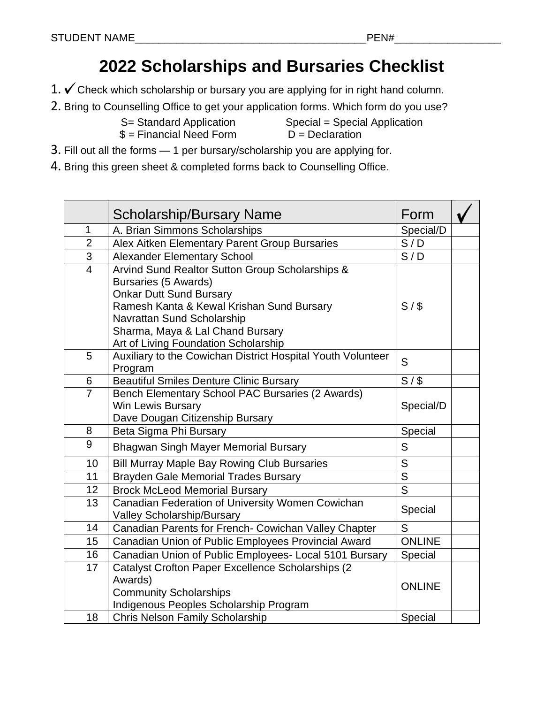## **2022 Scholarships and Bursaries Checklist**

- 1.  $\checkmark$  Check which scholarship or bursary you are applying for in right hand column.
- 2. [Brin](http://commons.wikimedia.org/wiki/File:Check_mark_23x20_02.svg)g to Counselling Office to get your application forms. Which form do you use?

S= Standard Application Special = Special Application  $$ =$  Financial Need Form  $D =$  Declaration

- 3. [Fill](http://commons.wikimedia.org/wiki/File:Check_mark_23x20_02.svg) out all the forms 1 per bursary/scholarship you are applying for.
- 4. [Bri](http://commons.wikimedia.org/wiki/File:Check_mark_23x20_02.svg)ng this green sheet & completed forms back to Counselling Office.

|                | <b>Scholarship/Bursary Name</b>                                                                                                                                                                                                                                  | Form                    |  |
|----------------|------------------------------------------------------------------------------------------------------------------------------------------------------------------------------------------------------------------------------------------------------------------|-------------------------|--|
| $\mathbf{1}$   | A. Brian Simmons Scholarships                                                                                                                                                                                                                                    | Special/D               |  |
| $\overline{2}$ | Alex Aitken Elementary Parent Group Bursaries                                                                                                                                                                                                                    | S/D                     |  |
| 3              | <b>Alexander Elementary School</b>                                                                                                                                                                                                                               | S/D                     |  |
| $\overline{4}$ | Arvind Sund Realtor Sutton Group Scholarships &<br>Bursaries (5 Awards)<br><b>Onkar Dutt Sund Bursary</b><br>Ramesh Kanta & Kewal Krishan Sund Bursary<br>Navrattan Sund Scholarship<br>Sharma, Maya & Lal Chand Bursary<br>Art of Living Foundation Scholarship | S/S                     |  |
| 5              | Auxiliary to the Cowichan District Hospital Youth Volunteer<br>Program                                                                                                                                                                                           | S                       |  |
| 6              | <b>Beautiful Smiles Denture Clinic Bursary</b>                                                                                                                                                                                                                   | $S/$ \$                 |  |
| $\overline{7}$ | Bench Elementary School PAC Bursaries (2 Awards)<br><b>Win Lewis Bursary</b><br>Dave Dougan Citizenship Bursary                                                                                                                                                  | Special/D               |  |
| 8              | Beta Sigma Phi Bursary                                                                                                                                                                                                                                           | Special                 |  |
| 9              | Bhagwan Singh Mayer Memorial Bursary                                                                                                                                                                                                                             | S                       |  |
| 10             | <b>Bill Murray Maple Bay Rowing Club Bursaries</b>                                                                                                                                                                                                               | S                       |  |
| 11             | <b>Brayden Gale Memorial Trades Bursary</b>                                                                                                                                                                                                                      | $\overline{\mathsf{s}}$ |  |
| 12             | <b>Brock McLeod Memorial Bursary</b>                                                                                                                                                                                                                             | $\overline{S}$          |  |
| 13             | Canadian Federation of University Women Cowichan<br><b>Valley Scholarship/Bursary</b>                                                                                                                                                                            | Special                 |  |
| 14             | Canadian Parents for French- Cowichan Valley Chapter                                                                                                                                                                                                             | S                       |  |
| 15             | Canadian Union of Public Employees Provincial Award                                                                                                                                                                                                              | <b>ONLINE</b>           |  |
| 16             | Canadian Union of Public Employees- Local 5101 Bursary                                                                                                                                                                                                           | Special                 |  |
| 17             | Catalyst Crofton Paper Excellence Scholarships (2<br>Awards)<br><b>Community Scholarships</b><br>Indigenous Peoples Scholarship Program                                                                                                                          | <b>ONLINE</b>           |  |
| 18             | <b>Chris Nelson Family Scholarship</b>                                                                                                                                                                                                                           | Special                 |  |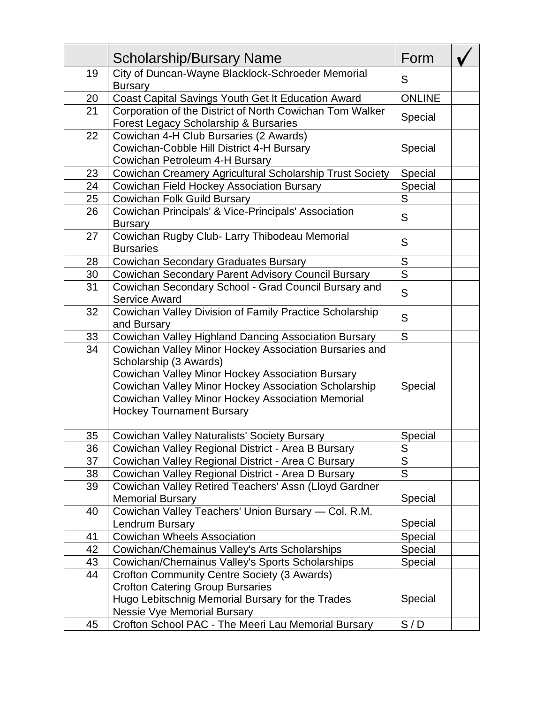|                 | <b>Scholarship/Bursary Name</b>                                     | Form          |  |
|-----------------|---------------------------------------------------------------------|---------------|--|
| 19              | City of Duncan-Wayne Blacklock-Schroeder Memorial<br><b>Bursary</b> | S             |  |
| 20              | Coast Capital Savings Youth Get It Education Award                  | <b>ONLINE</b> |  |
| 21              | Corporation of the District of North Cowichan Tom Walker            |               |  |
|                 | Forest Legacy Scholarship & Bursaries                               | Special       |  |
| 22              | Cowichan 4-H Club Bursaries (2 Awards)                              |               |  |
|                 | Cowichan-Cobble Hill District 4-H Bursary                           | Special       |  |
|                 | Cowichan Petroleum 4-H Bursary                                      |               |  |
| 23              | Cowichan Creamery Agricultural Scholarship Trust Society            | Special       |  |
| 24              | Cowichan Field Hockey Association Bursary                           | Special       |  |
| 25              | Cowichan Folk Guild Bursary                                         | S             |  |
| 26              | Cowichan Principals' & Vice-Principals' Association                 | S             |  |
|                 | <b>Bursary</b>                                                      |               |  |
| 27              | Cowichan Rugby Club- Larry Thibodeau Memorial                       | S             |  |
|                 | <b>Bursaries</b>                                                    |               |  |
| 28              | <b>Cowichan Secondary Graduates Bursary</b>                         | S             |  |
| 30 <sub>2</sub> | Cowichan Secondary Parent Advisory Council Bursary                  | S             |  |
| 31              | Cowichan Secondary School - Grad Council Bursary and                | S             |  |
|                 | <b>Service Award</b>                                                |               |  |
| 32              | Cowichan Valley Division of Family Practice Scholarship             | S             |  |
|                 | and Bursary                                                         |               |  |
| <u>33</u>       | Cowichan Valley Highland Dancing Association Bursary                | S             |  |
| 34              | Cowichan Valley Minor Hockey Association Bursaries and              |               |  |
|                 | Scholarship (3 Awards)                                              |               |  |
|                 | Cowichan Valley Minor Hockey Association Bursary                    |               |  |
|                 | Cowichan Valley Minor Hockey Association Scholarship                | Special       |  |
|                 | Cowichan Valley Minor Hockey Association Memorial                   |               |  |
|                 | <b>Hockey Tournament Bursary</b>                                    |               |  |
| 35              | Cowichan Valley Naturalists' Society Bursary                        | Special       |  |
| 36              | Cowichan Valley Regional District - Area B Bursary                  | S             |  |
| 37              | Cowichan Valley Regional District - Area C Bursary                  | S             |  |
| 38              | Cowichan Valley Regional District - Area D Bursary                  | S             |  |
| 39              | Cowichan Valley Retired Teachers' Assn (Lloyd Gardner               |               |  |
|                 | <b>Memorial Bursary</b>                                             | Special       |  |
| 40              | Cowichan Valley Teachers' Union Bursary - Col. R.M.                 |               |  |
|                 | <b>Lendrum Bursary</b>                                              | Special       |  |
| 41              | <b>Cowichan Wheels Association</b>                                  | Special       |  |
| 42              | Cowichan/Chemainus Valley's Arts Scholarships                       | Special       |  |
| 43              | Cowichan/Chemainus Valley's Sports Scholarships                     | Special       |  |
| 44              | <b>Crofton Community Centre Society (3 Awards)</b>                  |               |  |
|                 | <b>Crofton Catering Group Bursaries</b>                             |               |  |
|                 | Hugo Lebitschnig Memorial Bursary for the Trades                    | Special       |  |
|                 | <b>Nessie Vye Memorial Bursary</b>                                  |               |  |
| 45              | Crofton School PAC - The Meeri Lau Memorial Bursary                 | S/D           |  |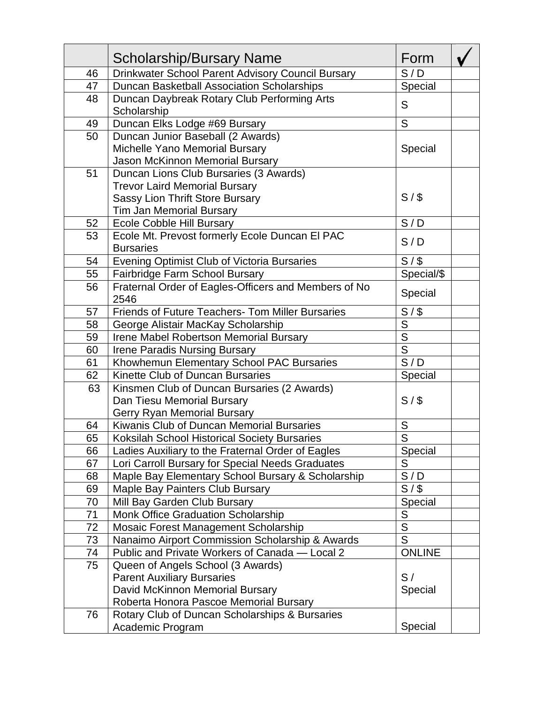|    | <b>Scholarship/Bursary Name</b>                            | Form                    |  |
|----|------------------------------------------------------------|-------------------------|--|
| 46 | Drinkwater School Parent Advisory Council Bursary          | S/D                     |  |
| 47 | Duncan Basketball Association Scholarships                 | Special                 |  |
| 48 | Duncan Daybreak Rotary Club Performing Arts<br>Scholarship | S                       |  |
| 49 | Duncan Elks Lodge #69 Bursary                              | S                       |  |
| 50 | Duncan Junior Baseball (2 Awards)                          |                         |  |
|    | Michelle Yano Memorial Bursary                             | Special                 |  |
|    | Jason McKinnon Memorial Bursary                            |                         |  |
| 51 | Duncan Lions Club Bursaries (3 Awards)                     |                         |  |
|    | <b>Trevor Laird Memorial Bursary</b>                       |                         |  |
|    | <b>Sassy Lion Thrift Store Bursary</b>                     | S/S                     |  |
|    | <b>Tim Jan Memorial Bursary</b>                            |                         |  |
| 52 | <b>Ecole Cobble Hill Bursary</b>                           | S/D                     |  |
| 53 | Ecole Mt. Prevost formerly Ecole Duncan El PAC             | S/D                     |  |
|    | <b>Bursaries</b>                                           |                         |  |
| 54 | Evening Optimist Club of Victoria Bursaries                | $\overline{S/S}$        |  |
| 55 | Fairbridge Farm School Bursary                             | Special/\$              |  |
| 56 | Fraternal Order of Eagles-Officers and Members of No       | Special                 |  |
|    | 2546                                                       |                         |  |
| 57 | <b>Friends of Future Teachers- Tom Miller Bursaries</b>    | S/                      |  |
| 58 | George Alistair MacKay Scholarship                         | $\overline{S}$          |  |
| 59 | Irene Mabel Robertson Memorial Bursary                     | $\overline{\mathsf{S}}$ |  |
| 60 | <b>Irene Paradis Nursing Bursary</b>                       | $\overline{\mathsf{S}}$ |  |
| 61 | Khowhemun Elementary School PAC Bursaries                  | $\overline{S}/D$        |  |
| 62 | Kinette Club of Duncan Bursaries                           | Special                 |  |
| 63 | Kinsmen Club of Duncan Bursaries (2 Awards)                |                         |  |
|    | Dan Tiesu Memorial Bursary                                 | S/S                     |  |
|    | Gerry Ryan Memorial Bursary                                |                         |  |
| 64 | Kiwanis Club of Duncan Memorial Bursaries                  | ${\sf S}$               |  |
| 65 | Koksilah School Historical Society Bursaries               | $\overline{\mathsf{s}}$ |  |
| 66 | Ladies Auxiliary to the Fraternal Order of Eagles          | Special                 |  |
| 67 | Lori Carroll Bursary for Special Needs Graduates           | S                       |  |
| 68 | Maple Bay Elementary School Bursary & Scholarship          | S/D                     |  |
| 69 | Maple Bay Painters Club Bursary                            | S/S                     |  |
| 70 | Mill Bay Garden Club Bursary                               | Special                 |  |
| 71 | <b>Monk Office Graduation Scholarship</b>                  | S                       |  |
| 72 | Mosaic Forest Management Scholarship                       | $\overline{S}$          |  |
| 73 | Nanaimo Airport Commission Scholarship & Awards            | $\overline{S}$          |  |
| 74 | Public and Private Workers of Canada - Local 2             | <b>ONLINE</b>           |  |
| 75 | Queen of Angels School (3 Awards)                          |                         |  |
|    | <b>Parent Auxiliary Bursaries</b>                          | S/                      |  |
|    | David McKinnon Memorial Bursary                            | Special                 |  |
|    | Roberta Honora Pascoe Memorial Bursary                     |                         |  |
| 76 | Rotary Club of Duncan Scholarships & Bursaries             |                         |  |
|    | Academic Program                                           | Special                 |  |